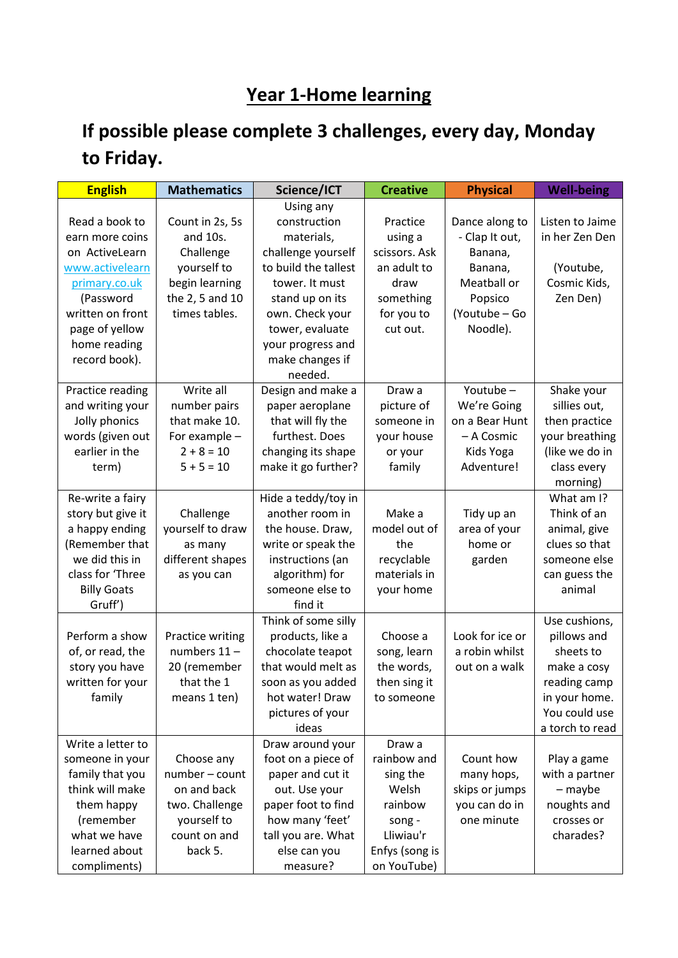## **Year 1-Home learning**

## **If possible please complete 3 challenges, every day, Monday to Friday.**

| <b>English</b>     | <b>Mathematics</b> | Science/ICT          | <b>Creative</b> | <b>Physical</b> | <b>Well-being</b> |
|--------------------|--------------------|----------------------|-----------------|-----------------|-------------------|
|                    |                    | Using any            |                 |                 |                   |
| Read a book to     | Count in 2s, 5s    | construction         | Practice        | Dance along to  | Listen to Jaime   |
| earn more coins    | and 10s.           | materials,           | using a         | - Clap It out,  | in her Zen Den    |
| on ActiveLearn     | Challenge          | challenge yourself   | scissors. Ask   | Banana,         |                   |
| www.activelearn    | yourself to        | to build the tallest | an adult to     | Banana,         | (Youtube,         |
| primary.co.uk      | begin learning     | tower. It must       | draw            | Meatball or     | Cosmic Kids,      |
| (Password          | the 2, 5 and 10    | stand up on its      | something       | Popsico         | Zen Den)          |
| written on front   | times tables.      | own. Check your      | for you to      | (Youtube - Go   |                   |
| page of yellow     |                    | tower, evaluate      | cut out.        | Noodle).        |                   |
| home reading       |                    | your progress and    |                 |                 |                   |
| record book).      |                    | make changes if      |                 |                 |                   |
|                    |                    | needed.              |                 |                 |                   |
| Practice reading   | Write all          | Design and make a    | Draw a          | Youtube-        | Shake your        |
| and writing your   | number pairs       | paper aeroplane      | picture of      | We're Going     | sillies out,      |
| Jolly phonics      | that make 10.      | that will fly the    | someone in      | on a Bear Hunt  | then practice     |
| words (given out   | For example -      | furthest. Does       | your house      | - A Cosmic      | your breathing    |
| earlier in the     | $2 + 8 = 10$       | changing its shape   | or your         | Kids Yoga       | (like we do in    |
| term)              | $5 + 5 = 10$       | make it go further?  | family          | Adventure!      | class every       |
|                    |                    |                      |                 |                 | morning)          |
| Re-write a fairy   |                    | Hide a teddy/toy in  |                 |                 | What am I?        |
| story but give it  | Challenge          | another room in      | Make a          | Tidy up an      | Think of an       |
| a happy ending     | yourself to draw   | the house. Draw,     | model out of    | area of your    | animal, give      |
| (Remember that     | as many            | write or speak the   | the             | home or         | clues so that     |
| we did this in     | different shapes   | instructions (an     | recyclable      | garden          | someone else      |
| class for 'Three   | as you can         | algorithm) for       | materials in    |                 | can guess the     |
| <b>Billy Goats</b> |                    | someone else to      | your home       |                 | animal            |
| Gruff')            |                    | find it              |                 |                 |                   |
|                    |                    | Think of some silly  |                 |                 | Use cushions,     |
| Perform a show     | Practice writing   | products, like a     | Choose a        | Look for ice or | pillows and       |
| of, or read, the   | numbers 11-        | chocolate teapot     | song, learn     | a robin whilst  | sheets to         |
| story you have     | 20 (remember       | that would melt as   | the words,      | out on a walk   | make a cosy       |
| written for your   | that the 1         | soon as you added    | then sing it    |                 | reading camp      |
| family             | means 1 ten)       | hot water! Draw      | to someone      |                 | in your home.     |
|                    |                    | pictures of your     |                 |                 | You could use     |
|                    |                    | ideas                |                 |                 | a torch to read   |
| Write a letter to  |                    | Draw around your     | Draw a          |                 |                   |
| someone in your    | Choose any         | foot on a piece of   | rainbow and     | Count how       | Play a game       |
| family that you    | number - count     | paper and cut it     | sing the        | many hops,      | with a partner    |
| think will make    | on and back        | out. Use your        | Welsh           | skips or jumps  | - maybe           |
| them happy         | two. Challenge     | paper foot to find   | rainbow         | you can do in   | noughts and       |
| (remember          | yourself to        | how many 'feet'      | song -          | one minute      | crosses or        |
| what we have       | count on and       | tall you are. What   | Lliwiau'r       |                 | charades?         |
| learned about      | back 5.            | else can you         | Enfys (song is  |                 |                   |
| compliments)       |                    | measure?             | on YouTube)     |                 |                   |